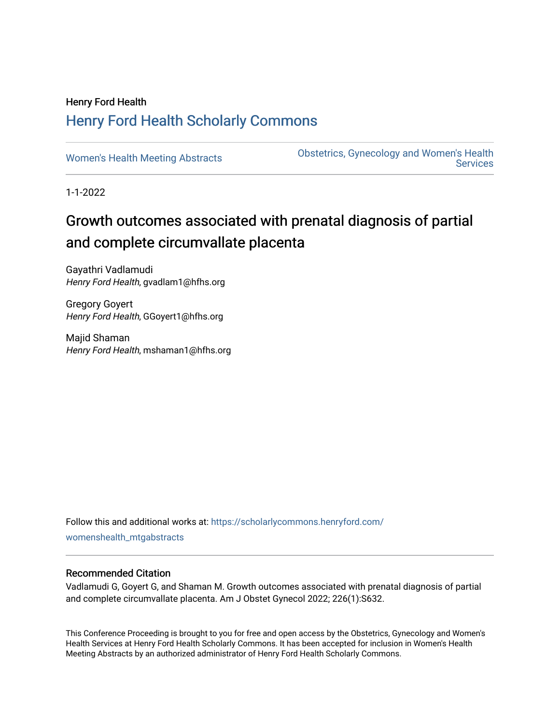## Henry Ford Health [Henry Ford Health Scholarly Commons](https://scholarlycommons.henryford.com/)

[Women's Health Meeting Abstracts](https://scholarlycommons.henryford.com/womenshealth_mtgabstracts) **Obstetrics, Gynecology and Women's Health Services** 

1-1-2022

# Growth outcomes associated with prenatal diagnosis of partial and complete circumvallate placenta

Gayathri Vadlamudi Henry Ford Health, gvadlam1@hfhs.org

Gregory Goyert Henry Ford Health, GGoyert1@hfhs.org

Majid Shaman Henry Ford Health, mshaman1@hfhs.org

Follow this and additional works at: [https://scholarlycommons.henryford.com/](https://scholarlycommons.henryford.com/womenshealth_mtgabstracts?utm_source=scholarlycommons.henryford.com%2Fwomenshealth_mtgabstracts%2F67&utm_medium=PDF&utm_campaign=PDFCoverPages) [womenshealth\\_mtgabstracts](https://scholarlycommons.henryford.com/womenshealth_mtgabstracts?utm_source=scholarlycommons.henryford.com%2Fwomenshealth_mtgabstracts%2F67&utm_medium=PDF&utm_campaign=PDFCoverPages)

### Recommended Citation

Vadlamudi G, Goyert G, and Shaman M. Growth outcomes associated with prenatal diagnosis of partial and complete circumvallate placenta. Am J Obstet Gynecol 2022; 226(1):S632.

This Conference Proceeding is brought to you for free and open access by the Obstetrics, Gynecology and Women's Health Services at Henry Ford Health Scholarly Commons. It has been accepted for inclusion in Women's Health Meeting Abstracts by an authorized administrator of Henry Ford Health Scholarly Commons.